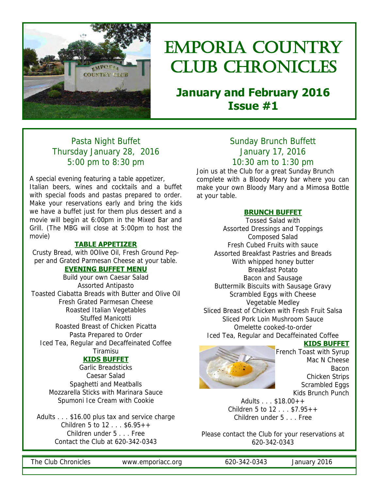

# Emporia country CLUB CHRONICLES

## **January and February 2016 Issue #1**

## Pasta Night Buffet Thursday January 28, 2016 5:00 pm to 8:30 pm

A special evening featuring a table appetizer, Italian beers, wines and cocktails and a buffet with special foods and pastas prepared to order. Make your reservations early and bring the kids we have a buffet just for them plus dessert and a movie will begin at 6:00pm in the Mixed Bar and Grill. (The MBG will close at 5:00pm to host the movie)

#### **TABLE APPETIZER**

Crusty Bread, with 0Olive Oil, Fresh Ground Pepper and Grated Parmesan Cheese at your table.

#### **EVENING BUFFET MENU**

Build your own Caesar Salad Assorted Antipasto Toasted Ciabatta Breads with Butter and Olive Oil Fresh Grated Parmesan Cheese Roasted Italian Vegetables Stuffed Manicotti Roasted Breast of Chicken Picatta Pasta Prepared to Order Iced Tea, Regular and Decaffeinated Coffee Tiramisu

#### **KIDS BUFFET**

Garlic Breadsticks Caesar Salad Spaghetti and Meatballs Mozzarella Sticks with Marinara Sauce Spumoni Ice Cream with Cookie

Adults . . . \$16.00 plus tax and service charge Children 5 to 12 . . . \$6.95++ Children under 5 . . . Free Contact the Club at 620-342-0343

### Sunday Brunch Buffett January 17, 2016 10:30 am to 1:30 pm

Join us at the Club for a great Sunday Brunch complete with a Bloody Mary bar where you can make your own Bloody Mary and a Mimosa Bottle at your table.

#### **BRUNCH BUFFET**

Tossed Salad with Assorted Dressings and Toppings Composed Salad Fresh Cubed Fruits with sauce Assorted Breakfast Pastries and Breads With whipped honey butter Breakfast Potato Bacon and Sausage Buttermilk Biscuits with Sausage Gravy Scrambled Eggs with Cheese Vegetable Medley Sliced Breast of Chicken with Fresh Fruit Salsa Sliced Pork Loin Mushroom Sauce Omelette cooked-to-order Iced Tea, Regular and Decaffeinated Coffee



### **KIDS BUFFET**

French Toast with Syrup Mac N Cheese Bacon Chicken Strips Scrambled Eggs Kids Brunch Punch

Adults . . . \$18.00++ Children 5 to 12 . . . \$7.95++ Children under 5 . . . Free

Please contact the Club for your reservations at 620-342-0343

The Club Chronicles www.emporiacc.org 620-342-0343 January 2016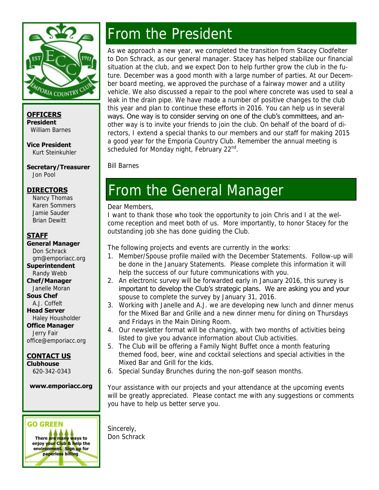

**OFFICERS President**  William Barnes

**Vice President**  Kurt Steinkuhler

**Secretary/Treasurer** 

Jon Pool

#### **DIRECTORS**

 Nancy Thomas Karen Sommers Jamie Sauder Brian Dewitt

#### **STAFF**

**General Manager**  Don Schrack gm@emporiacc.org **Superintendent**  Randy Webb **Chef/Manager**  Janelle Moran **Sous Chef**  A.J. Coffelt **Head Server**  Haley Housholder **Office Manager**  Jerry Fair office@emporiacc.org **CONTACT US Clubhouse** 

620-342-0343

**www.emporiacc.org** 



# From the President

As we approach a new year, we completed the transition from Stacey Clodfelter to Don Schrack, as our general manager. Stacey has helped stabilize our financial situation at the club, and we expect Don to help further grow the club in the future. December was a good month with a large number of parties. At our December board meeting, we approved the purchase of a fairway mower and a utility vehicle. We also discussed a repair to the pool where concrete was used to seal a leak in the drain pipe. We have made a number of positive changes to the club this year and plan to continue these efforts in 2016. You can help us in several ways. One way is to consider serving on one of the club's committees, and another way is to invite your friends to join the club. On behalf of the board of directors, I extend a special thanks to our members and our staff for making 2015 a good year for the Emporia Country Club. Remember the annual meeting is scheduled for Monday night, February 22<sup>nd</sup>.

Bill Barnes

## From the General Manager

#### Dear Members,

I want to thank those who took the opportunity to join Chris and I at the welcome reception and meet both of us. More importantly, to honor Stacey for the outstanding job she has done guiding the Club.

The following projects and events are currently in the works:

- 1. Member/Spouse profile mailed with the December Statements. Follow-up will be done in the January Statements. Please complete this information it will help the success of our future communications with you.
- 2. An electronic survey will be forwarded early in January 2016, this survey is important to develop the Club's strategic plans. We are asking you and your spouse to complete the survey by January 31, 2016.
- 3. Working with Janelle and A.J. we are developing new lunch and dinner menus for the Mixed Bar and Grille and a new dinner menu for dining on Thursdays and Fridays in the Main Dining Room.
- 4. Our newsletter format will be changing, with two months of activities being listed to give you advance information about Club activities.
- 5. The Club will be offering a Family Night Buffet once a month featuring themed food, beer, wine and cocktail selections and special activities in the Mixed Bar and Grill for the kids.
- 6. Special Sunday Brunches during the non-golf season months.

Your assistance with our projects and your attendance at the upcoming events will be greatly appreciated. Please contact me with any suggestions or comments you have to help us better serve you.

Sincerely, Don Schrack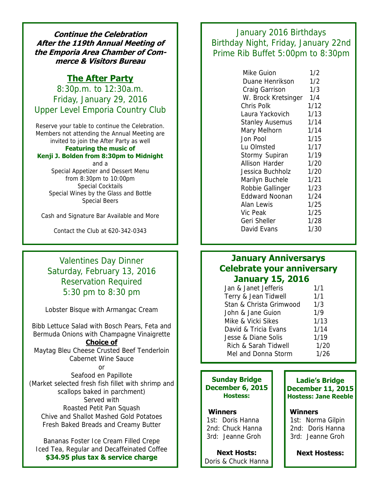**Continue the Celebration After the 119th Annual Meeting of the Emporia Area Chamber of Commerce & Visitors Bureau** 

### **The After Party**

8:30p.m. to 12:30a.m. Friday, January 29, 2016 Upper Level Emporia Country Club

Reserve your table to continue the Celebration. Members not attending the Annual Meeting are invited to join the After Party as well

#### **Featuring the music of Kenji J. Bolden from 8:30pm to Midnight**

and a Special Appetizer and Dessert Menu from 8:30pm to 10:00pm Special Cocktails Special Wines by the Glass and Bottle Special Beers

Cash and Signature Bar Available and More

Contact the Club at 620-342-0343

## Valentines Day Dinner Saturday, February 13, 2016 Reservation Required 5:30 pm to 8:30 pm

Lobster Bisque with Armangac Cream

Bibb Lettuce Salad with Bosch Pears, Feta and Bermuda Onions with Champagne Vinaigrette **Choice of** 

Maytag Bleu Cheese Crusted Beef Tenderloin Cabernet Wine Sauce

or

Seafood en Papillote (Market selected fresh fish fillet with shrimp and scallops baked in parchment) Served with Roasted Petit Pan Squash Chive and Shallot Mashed Gold Potatoes Fresh Baked Breads and Creamy Butter

Bananas Foster Ice Cream Filled Crepe Iced Tea, Regular and Decaffeinated Coffee **\$34.95 plus tax & service charge** 

January 2016 Birthdays Birthday Night, Friday, January 22nd Prime Rib Buffet 5:00pm to 8:30pm

| Mike Guion             | 1/2  |
|------------------------|------|
| Duane Henrikson        | 1/2  |
| Craig Garrison         | 1/3  |
| W. Brock Kretsinger    | 1/4  |
| Chris Polk             | 1/12 |
| Laura Yackovich        | 1/13 |
| <b>Stanley Ausemus</b> | 1/14 |
| Mary Melhorn           | 1/14 |
| Jon Pool               | 1/15 |
| Lu Olmsted             | 1/17 |
| Stormy Supiran         | 1/19 |
| Allison Harder         | 1/20 |
| Jessica Buchholz       | 1/20 |
| Marilyn Buchele        | 1/21 |
| Robbie Gallinger       | 1/23 |
| <b>Eddward Noonan</b>  | 1/24 |
| Alan Lewis             | 1/25 |
| Vic Peak               | 1/25 |
| Geri Sheller           | 1/28 |
| David Evans            | 1/30 |

## **January Anniversarys Celebrate your anniversary January 15, 2016**

| Jan & Janet Jefferis    | 1/1  |
|-------------------------|------|
| Terry & Jean Tidwell    | 1/1  |
| Stan & Christa Grimwood | 1/3  |
| John & Jane Guion       | 1/9  |
| Mike & Vicki Sikes      | 1/13 |
| David & Tricia Evans    | 1/14 |
| Jesse & Diane Solis     | 1/19 |
| Rich & Sarah Tidwell    | 1/20 |
| Mel and Donna Storm     | 1/26 |

#### **Sunday Bridge December 6, 2015 Hostess:**

#### **Winners**

 1st: Doris Hanna 2nd: Chuck Hanna 3rd: Jeanne Groh

**Next Hosts:**  Doris & Chuck Hanna

#### **Ladie's Bridge December 11, 2015 Hostess: Jane Reeble**

#### **Winners**

 1st: Norma Gilpin 2nd: Doris Hanna 3rd: Jeanne Groh

**Next Hostess:**